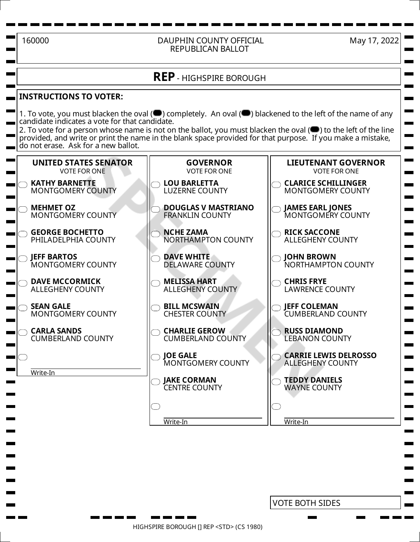## 160000 DAUPHIN COUNTY OFFICIAL REPUBLICAN BALLOT

May 17, 2022

## **REP**- HIGHSPIRE BOROUGH

## **INSTRUCTIONS TO VOTER:**

1. To vote, you must blacken the oval (●) completely. An oval (●) blackened to the left of the name of any candidate indicates a vote for that candidate.

2. To vote for a person whose name is not on the ballot, you must blacken the oval  $(\bullet)$  to the left of the line provided, and write or print the name in the blank space provided for that purpose. If you make a mistake, do not erase. Ask for a new ballot.